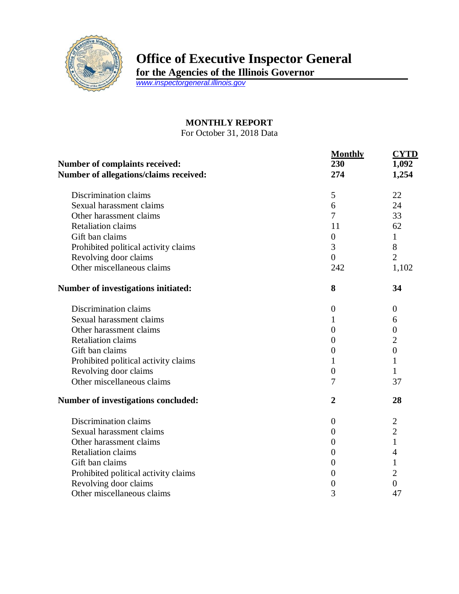

## **Office of Executive Inspector General**

**for the Agencies of the Illinois Governor**

*[www.inspectorgeneral.illinois.gov](http://www.inspectorgeneral.illinois.gov/)*

## **MONTHLY REPORT**

For October 31, 2018 Data

|                                                                                 | <b>Monthly</b>   | <b>CYTD</b>      |
|---------------------------------------------------------------------------------|------------------|------------------|
| <b>Number of complaints received:</b><br>Number of allegations/claims received: | 230<br>274       | 1,092<br>1,254   |
|                                                                                 |                  |                  |
| Sexual harassment claims                                                        | 6                | 24               |
| Other harassment claims                                                         | 7                | 33               |
| <b>Retaliation claims</b>                                                       | 11               | 62               |
| Gift ban claims                                                                 | $\boldsymbol{0}$ | 1                |
| Prohibited political activity claims                                            | 3                | 8                |
| Revolving door claims                                                           | $\overline{0}$   | $\overline{2}$   |
| Other miscellaneous claims                                                      | 242              | 1,102            |
| <b>Number of investigations initiated:</b>                                      | 8                | 34               |
| Discrimination claims                                                           | $\overline{0}$   | $\boldsymbol{0}$ |
| Sexual harassment claims                                                        | 1                | 6                |
| Other harassment claims                                                         | $\overline{0}$   | $\boldsymbol{0}$ |
| <b>Retaliation claims</b>                                                       | $\overline{0}$   | $\overline{2}$   |
| Gift ban claims                                                                 | $\overline{0}$   | $\overline{0}$   |
| Prohibited political activity claims                                            | 1                | 1                |
| Revolving door claims                                                           | $\overline{0}$   | 1                |
| Other miscellaneous claims                                                      | 7                | 37               |
| Number of investigations concluded:                                             | $\overline{2}$   | 28               |
| Discrimination claims                                                           | $\theta$         | $\overline{2}$   |
| Sexual harassment claims                                                        | 0                | $\overline{2}$   |
| Other harassment claims                                                         | $\boldsymbol{0}$ | $\mathbf{1}$     |
| <b>Retaliation claims</b>                                                       | $\overline{0}$   | 4                |
| Gift ban claims                                                                 | $\overline{0}$   | $\mathbf{1}$     |
| Prohibited political activity claims                                            | $\boldsymbol{0}$ | $\overline{2}$   |
| Revolving door claims                                                           | $\boldsymbol{0}$ | $\overline{0}$   |
| Other miscellaneous claims                                                      | 3                | 47               |